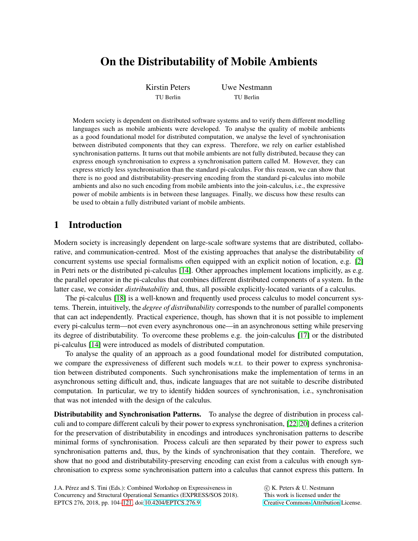# On the Distributability of Mobile Ambients

Kirstin Peters TU Berlin

Uwe Nestmann TU Berlin

Modern society is dependent on distributed software systems and to verify them different modelling languages such as mobile ambients were developed. To analyse the quality of mobile ambients as a good foundational model for distributed computation, we analyse the level of synchronisation between distributed components that they can express. Therefore, we rely on earlier established synchronisation patterns. It turns out that mobile ambients are not fully distributed, because they can express enough synchronisation to express a synchronisation pattern called M. However, they can express strictly less synchronisation than the standard pi-calculus. For this reason, we can show that there is no good and distributability-preserving encoding from the standard pi-calculus into mobile ambients and also no such encoding from mobile ambients into the join-calculus, i.e., the expressive power of mobile ambients is in between these languages. Finally, we discuss how these results can be used to obtain a fully distributed variant of mobile ambients.

# 1 Introduction

Modern society is increasingly dependent on large-scale software systems that are distributed, collaborative, and communication-centred. Most of the existing approaches that analyse the distributability of concurrent systems use special formalisms often equipped with an explicit notion of location, e.g. [\[2\]](#page-16-0) in Petri nets or the distributed pi-calculus [\[14\]](#page-16-1). Other approaches implement locations implicitly, as e.g. the parallel operator in the pi-calculus that combines different distributed components of a system. In the latter case, we consider *distributability* and, thus, all possible explicitly-located variants of a calculus.

The pi-calculus [\[18\]](#page-16-2) is a well-known and frequently used process calculus to model concurrent systems. Therein, intuitively, the *degree of distributability* corresponds to the number of parallel components that can act independently. Practical experience, though, has shown that it is not possible to implement every pi-calculus term—not even every asynchronous one—in an asynchronous setting while preserving its degree of distributability. To overcome these problems e.g. the join-calculus [\[17\]](#page-16-3) or the distributed pi-calculus [\[14\]](#page-16-1) were introduced as models of distributed computation.

To analyse the quality of an approach as a good foundational model for distributed computation, we compare the expressiveness of different such models w.r.t. to their power to express synchronisation between distributed components. Such synchronisations make the implementation of terms in an asynchronous setting difficult and, thus, indicate languages that are not suitable to describe distributed computation. In particular, we try to identify hidden sources of synchronisation, i.e., synchronisation that was not intended with the design of the calculus.

Distributability and Synchronisation Patterns. To analyse the degree of distribution in process calculi and to compare different calculi by their power to express synchronisation, [\[22,](#page-16-4) [20\]](#page-16-5) defines a criterion for the preservation of distributability in encodings and introduces synchronisation patterns to describe minimal forms of synchronisation. Process calculi are then separated by their power to express such synchronisation patterns and, thus, by the kinds of synchronisation that they contain. Therefore, we show that no good and distributability-preserving encoding can exist from a calculus with enough synchronisation to express some synchronisation pattern into a calculus that cannot express this pattern. In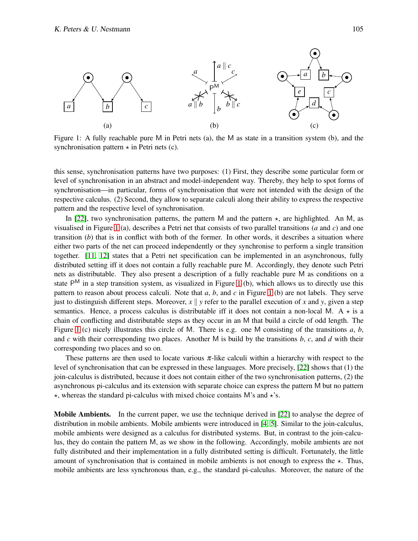

<span id="page-1-0"></span>Figure 1: A fully reachable pure M in Petri nets (a), the M as state in a transition system (b), and the synchronisation pattern  $\star$  in Petri nets (c).

this sense, synchronisation patterns have two purposes: (1) First, they describe some particular form or level of synchronisation in an abstract and model-independent way. Thereby, they help to spot forms of synchronisation—in particular, forms of synchronisation that were not intended with the design of the respective calculus. (2) Second, they allow to separate calculi along their ability to express the respective pattern and the respective level of synchronisation.

In [\[22\]](#page-16-4), two synchronisation patterns, the pattern M and the pattern  $\star$ , are highlighted. An M, as visualised in Figure [1](#page-1-0) (a), describes a Petri net that consists of two parallel transitions (*a* and *c*) and one transition (*b*) that is in conflict with both of the former. In other words, it describes a situation where either two parts of the net can proceed independently or they synchronise to perform a single transition together. [\[11,](#page-16-6) [12\]](#page-16-7) states that a Petri net specification can be implemented in an asynchronous, fully distributed setting iff it does not contain a fully reachable pure M. Accordingly, they denote such Petri nets as distributable. They also present a description of a fully reachable pure M as conditions on a state  $P^{M}$  in a step transition system, as visualized in Figure [1](#page-1-0) (b), which allows us to directly use this pattern to reason about process calculi. Note that *a*, *b*, and *c* in Figure [1](#page-1-0) (b) are not labels. They serve just to distinguish different steps. Moreover,  $x \parallel y$  refer to the parallel execution of x and y, given a step semantics. Hence, a process calculus is distributable iff it does not contain a non-local M. A  $\star$  is a chain of conflicting and distributable steps as they occur in an M that build a circle of odd length. The Figure [1](#page-1-0) (c) nicely illustrates this circle of M. There is e.g. one M consisting of the transitions *a*, *b*, and *c* with their corresponding two places. Another M is build by the transitions *b*, *c*, and *d* with their corresponding two places and so on.

These patterns are then used to locate various  $\pi$ -like calculi within a hierarchy with respect to the level of synchronisation that can be expressed in these languages. More precisely, [\[22\]](#page-16-4) shows that (1) the join-calculus is distributed, because it does not contain either of the two synchronisation patterns, (2) the asynchronous pi-calculus and its extension with separate choice can express the pattern M but no pattern  $\star$ , whereas the standard pi-calculus with mixed choice contains M's and  $\star$ 's.

**Mobile Ambients.** In the current paper, we use the technique derived in [\[22\]](#page-16-4) to analyse the degree of distribution in mobile ambients. Mobile ambients were introduced in [\[4,](#page-16-8) [5\]](#page-16-9). Similar to the join-calculus, mobile ambients were designed as a calculus for distributed systems. But, in contrast to the join-calculus, they do contain the pattern M, as we show in the following. Accordingly, mobile ambients are not fully distributed and their implementation in a fully distributed setting is difficult. Fortunately, the little amount of synchronisation that is contained in mobile ambients is not enough to express the  $\star$ . Thus, mobile ambients are less synchronous than, e.g., the standard pi-calculus. Moreover, the nature of the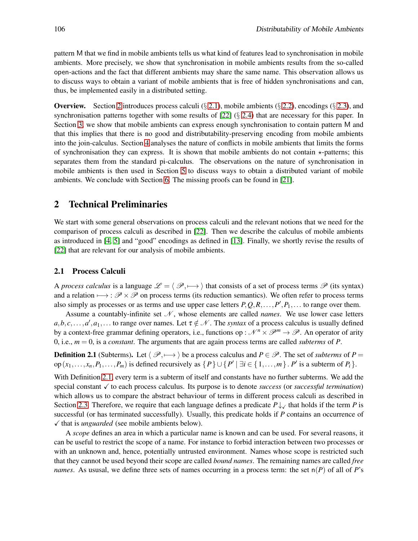pattern M that we find in mobile ambients tells us what kind of features lead to synchronisation in mobile ambients. More precisely, we show that synchronisation in mobile ambients results from the so-called open-actions and the fact that different ambients may share the same name. This observation allows us to discuss ways to obtain a variant of mobile ambients that is free of hidden synchronisations and can, thus, be implemented easily in a distributed setting.

**Overview.** Section [2](#page-2-0) introduces process calculi (§ [2.1\)](#page-2-1), mobile ambients (§ [2.2\)](#page-4-0), encodings (§ [2.3\)](#page-5-0), and synchronisation patterns together with some results of  $[22]$  (§ [2.4\)](#page-7-0) that are necessary for this paper. In Section [3,](#page-10-0) we show that mobile ambients can express enough synchronisation to contain pattern M and that this implies that there is no good and distributability-preserving encoding from mobile ambients into the join-calculus. Section [4](#page-11-0) analyses the nature of conflicts in mobile ambients that limits the forms of synchronisation they can express. It is shown that mobile ambients do not contain  $\star$ -patterns; this separates them from the standard pi-calculus. The observations on the nature of synchronisation in mobile ambients is then used in Section [5](#page-13-0) to discuss ways to obtain a distributed variant of mobile ambients. We conclude with Section [6.](#page-14-0) The missing proofs can be found in [\[21\]](#page-16-10).

# <span id="page-2-0"></span>2 Technical Preliminaries

We start with some general observations on process calculi and the relevant notions that we need for the comparison of process calculi as described in [\[22\]](#page-16-4). Then we describe the calculus of mobile ambients as introduced in [\[4,](#page-16-8) [5\]](#page-16-9) and "good" encodings as defined in [\[13\]](#page-16-11). Finally, we shortly revise the results of [\[22\]](#page-16-4) that are relevant for our analysis of mobile ambients.

### <span id="page-2-1"></span>2.1 Process Calculi

A *process calculus* is a language  $\mathcal{L} = \langle \mathcal{P}, \rightarrow \rangle$  that consists of a set of process terms  $\mathcal{P}$  (its syntax) and a relation  $\mapsto$  :  $\mathscr{P} \times \mathscr{P}$  on process terms (its reduction semantics). We often refer to process terms also simply as processes or as terms and use upper case letters  $P, Q, R, \ldots, P', P_1, \ldots$  to range over them.

Assume a countably-infinite set  $N$ , whose elements are called *names*. We use lower case letters  $a,b,c,\ldots,a',a_1,\ldots$  to range over names. Let  $\tau \notin \mathcal{N}$ . The *syntax* of a process calculus is usually defined by a context-free grammar defining operators, i.e., functions op :  $\mathcal{N}^n \times \mathcal{P}^m \to \mathcal{P}$ . An operator of arity 0, i.e.,  $m = 0$ , is a *constant*. The arguments that are again process terms are called *subterms* of *P*.

<span id="page-2-2"></span>**Definition 2.1** (Subterms). Let  $\langle \mathcal{P}, \longmapsto \rangle$  be a process calculus and  $P \in \mathcal{P}$ . The set of *subterms* of  $P =$ op  $(x_1, \ldots, x_n, P_1, \ldots, P_m)$  is defined recursively as  $\{P\} \cup \{P' \mid \exists i \in \{1, \ldots, m\} \cdot P'$  is a subterm of  $P_i\}$ .

With Definition [2.1,](#page-2-2) every term is a subterm of itself and constants have no further subterms. We add the special constant  $\checkmark$  to each process calculus. Its purpose is to denote *success* (or *successful termination*) which allows us to compare the abstract behaviour of terms in different process calculi as described in Section [2.3.](#page-5-0) Therefore, we require that each language defines a predicate  $P \downarrow \checkmark$  that holds if the term *P* is successful (or has terminated successfully). Usually, this predicate holds if *P* contains an occurrence of  $\checkmark$  that is *unguarded* (see mobile ambients below).

A *scope* defines an area in which a particular name is known and can be used. For several reasons, it can be useful to restrict the scope of a name. For instance to forbid interaction between two processes or with an unknown and, hence, potentially untrusted environment. Names whose scope is restricted such that they cannot be used beyond their scope are called *bound names*. The remaining names are called *free names*. As ususal, we define three sets of names occurring in a process term: the set  $n(P)$  of all of *P*'s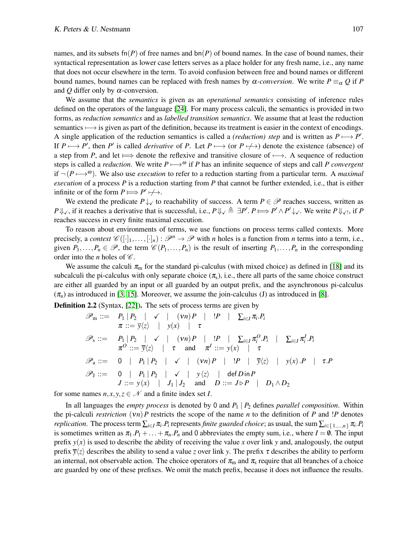names, and its subsets  $fn(P)$  of free names and  $bn(P)$  of bound names. In the case of bound names, their syntactical representation as lower case letters serves as a place holder for any fresh name, i.e., any name that does not occur elsewhere in the term. To avoid confusion between free and bound names or different bound names, bound names can be replaced with fresh names by  $\alpha$ -conversion. We write  $P \equiv_{\alpha} Q$  if P and  $Q$  differ only by  $\alpha$ -conversion.

We assume that the *semantics* is given as an *operational semantics* consisting of inference rules defined on the operators of the language [\[24\]](#page-17-1). For many process calculi, the semantics is provided in two forms, as *reduction semantics* and as *labelled transition semantics*. We assume that at least the reduction semantics  $\rightarrow$  is given as part of the definition, because its treatment is easier in the context of encodings. A single application of the reduction semantics is called a *(reduction) step* and is written as  $P \longmapsto P'$ . If  $P \mapsto P'$ , then *P'* is called *derivative* of *P*. Let  $P \mapsto$  (or  $P \nleftrightarrow$ ) denote the existence (absence) of a step from *P*, and let  $\implies$  denote the reflexive and transitive closure of  $\mapsto$ . A sequence of reduction steps is called a *reduction*. We write  $P \mapsto^{\omega}$  if *P* has an infinite sequence of steps and call *P convergent* if  $\neg (P \rightarrow^{\omega})$ . We also use *execution* to refer to a reduction starting from a particular term. A *maximal execution* of a process *P* is a reduction starting from *P* that cannot be further extended, i.e., that is either infinite or of the form  $P \Longrightarrow P' \not\longrightarrow$ .

We extend the predicate  $P \downarrow \checkmark$  to reachability of success. A term  $P \in \mathcal{P}$  reaches success, written as *P* ↓  $\downarrow$ , if it reaches a derivative that is successful, i.e.,  $P \Downarrow_{\checkmark} \triangleq \exists P'. P \Longrightarrow P' \wedge P' \downarrow_{\checkmark}$ . We write  $P \Downarrow_{\checkmark}$ , if  $P$ reaches success in every finite maximal execution.

To reason about environments of terms, we use functions on process terms called contexts. More precisely, a *context*  $\mathscr{C}([\cdot]_1,\ldots,[\cdot]_n): \mathscr{P}^n \to \mathscr{P}$  with *n* holes is a function from *n* terms into a term, i.e., given  $P_1, \ldots, P_n \in \mathcal{P}$ , the term  $\mathcal{C}(P_1, \ldots, P_n)$  is the result of inserting  $P_1, \ldots, P_n$  in the corresponding order into the *n* holes of  $\mathscr{C}$ .

We assume the calculi  $\pi_{\rm m}$  for the standard pi-calculus (with mixed choice) as defined in [\[18\]](#page-16-2) and its subcalculi the pi-calculus with only separate choice  $(\pi_s)$ , i.e., there all parts of the same choice construct are either all guarded by an input or all guarded by an output prefix, and the asynchronous pi-calculus  $(\pi_a)$  as introduced in [\[3,](#page-16-12) [15\]](#page-16-13). Moreover, we assume the join-calculus (J) as introduced in [\[8\]](#page-16-14).

Definition 2.2 (Syntax, [\[22\]](#page-16-4)). The sets of process terms are given by

$$
\mathscr{P}_{m} ::= P_{1} | P_{2} | \checkmark | (vn) P | !P | \Sigma_{i \in I} \pi_{i} P_{i}
$$
\n
$$
\pi ::= \overline{y} \langle \chi \rangle | y(x) | \tau
$$
\n
$$
\mathscr{P}_{s} ::= P_{1} | P_{2} | \checkmark | (vn) P | !P | \Sigma_{i \in I} \pi_{i}^{O} P_{i} | \Sigma_{i \in I} \pi_{i}^{I} P_{i}
$$
\n
$$
\pi^{O} ::= \overline{y} \langle \chi \rangle | \tau \text{ and } \pi^{I} ::= y(x) | \tau
$$
\n
$$
\mathscr{P}_{a} ::= 0 | P_{1} | P_{2} | \checkmark | (vn) P | !P | \overline{y} \langle \chi \rangle | y(x) .P | \tau P
$$
\n
$$
\mathscr{P}_{J} ::= 0 | P_{1} | P_{2} | \checkmark | y \langle \chi \rangle | \text{ def } \text{D} \text{ in } P
$$
\n
$$
J ::= y(x) | J_{1} | J_{2} \text{ and } D ::= J \triangleright P | D_{1} \wedge D_{2}
$$

for some names  $n, x, y, z \in \mathcal{N}$  and a finite index set *I*.

In all languages the *empty process* is denoted by 0 and *P*<sup>1</sup> | *P*<sup>2</sup> defines *parallel composition*. Within the pi-calculi *restriction* (ν*n*)*P* restricts the scope of the name *n* to the definition of *P* and !*P* denotes *replication.* The process term  $\sum_{i\in I}\pi_i.P_i$  represents *finite guarded choice*; as usual, the sum  $\sum_{i\in\{1,...,n\}}\pi_i.P_i$ is sometimes written as  $\pi_1 \cdot P_1 + \ldots + \pi_n \cdot P_n$  and 0 abbreviates the empty sum, i.e., where  $I = \emptyset$ . The input prefix  $y(x)$  is used to describe the ability of receiving the value x over link y and, analogously, the output prefix  $\bar{y}\langle z \rangle$  describes the ability to send a value *z* over link *y*. The prefix  $\tau$  describes the ability to perform an internal, not observable action. The choice operators of  $\pi_m$  and  $\pi_s$  require that all branches of a choice are guarded by one of these prefixes. We omit the match prefix, because it does not influence the results.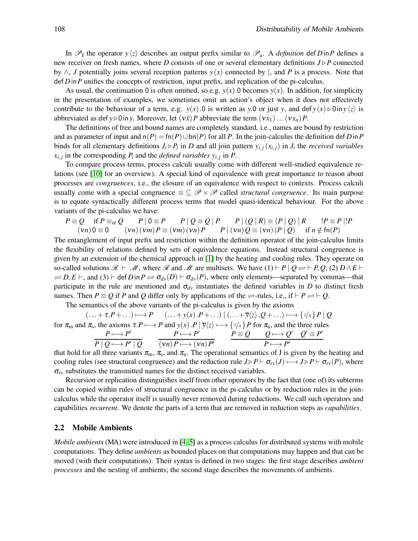In  $\mathscr{P}_J$  the operator  $y\langle z \rangle$  describes an output prefix similar to  $\mathscr{P}_a$ . A *definition* def *D* in *P* defines a new receiver on fresh names, where *D* consists of one or several elementary definitions  $J \triangleright P$  connected by ∧, *J* potentially joins several reception patterns *y*(*x*) connected by |, and *P* is a process. Note that def *D*in*P* unifies the concepts of restriction, input prefix, and replication of the pi-calculus.

As usual, the continuation 0 is often omitted, so e.g.  $y(x)$ . 0 becomes  $y(x)$ . In addition, for simplicity in the presentation of examples, we sometimes omit an action's object when it does not effectively contribute to the behaviour of a term, e.g. *y*(*x*).0 is written as *y*.0 or just *y*, and def  $y(x) \triangleright 0$  in  $y\langle z \rangle$  is abbreviated as def  $y \triangleright 0$  in *y*. Moreover, let  $(v\tilde{x})P$  abbreviate the term  $(vx_1)...(vx_n)P$ .

The definitions of free and bound names are completely standard, i.e., names are bound by restriction and as parameter of input and  $n(P) = \text{fn}(P) \cup \text{bn}(P)$  for all P. In the join-calculus the definition def D in P binds for all elementary definitions  $J_i \triangleright P_i$  in *D* and all join pattern  $y_{i,j}(x_{i,j})$  in  $J_i$  the *received variables*  $x_{i,j}$  in the corresponding  $P_i$  and the *defined variables*  $y_{i,j}$  in  $P$ .

To compare process terms, process calculi usually come with different well-studied equivalence relations (see [\[10\]](#page-16-15) for an overview). A special kind of equivalence with great importance to reason about processes are *congruences*, i.e., the closure of an equivalence with respect to contexts. Process calculi usually come with a special congruence  $\equiv \subseteq \mathcal{P} \times \mathcal{P}$  called *structural congruence*. Its main purpose is to equate syntactically different process terms that model quasi-identical behaviour. For the above variants of the pi-calculus we have:

$$
P \equiv Q \quad \text{if } P \equiv_{\alpha} Q \qquad P \mid 0 \equiv P \qquad P \mid Q \equiv Q \mid P \qquad P \mid (Q \mid R) \equiv (P \mid Q) \mid R \qquad !P \equiv P \mid !P
$$
  
(*vn*)0 \equiv 0 \qquad (*vn*) (*vm*) P \equiv (*vm*) (*vn*) P \qquad P \mid (*vn*) Q \equiv (*vn*) (P \mid Q) \qquad \text{if } n \notin \text{fn}(P)

The entanglement of input prefix and restriction within the definition operator of the join-calculus limits the flexibility of relations defined by sets of equivalence equations. Instead structural congruence is given by an extension of the chemical approach in [\[1\]](#page-16-16) by the heating and cooling rules. They operate on so-called solutions  $\mathcal{R} \vdash \mathcal{M}$ , where  $\mathcal{R}$  and  $\mathcal{M}$  are multisets. We have (1)  $\vdash P \mid Q \rightleftharpoons \vdash P, Q, (2) D \wedge E \vdash$  $\Rightarrow$  *D*,*E*  $\vdash$ , and (3)  $\vdash$  def *D* in  $P \rightleftharpoons \sigma_{dv}(D) \vdash \sigma_{dv}(P)$ , where only elements—separated by commas—that participate in the rule are mentioned and  $\sigma_{dv}$  instantiates the defined variables in *D* to distinct fresh names. Then  $P \equiv Q$  if *P* and *Q* differ only by applications of the  $\rightleftharpoons$ -rules, i.e., if  $\vdash P \rightleftharpoons \vdash Q$ .

The semantics of the above variants of the pi-calculus is given by the axioms

$$
\begin{array}{ccc}\n(\ldots + \tau.P + \ldots) \longmapsto P & (\ldots + y(x).P + \ldots) \mid (\ldots + \overline{y}\langle z\rangle .Q + \ldots) \longmapsto \{z/x\} P \mid Q \\
\text{for } \pi_{m} \text{ and } \pi_{s}, \text{ the axioms } \tau.P \longmapsto P \text{ and } y(x).P \mid \overline{y}\langle z\rangle \longmapsto \{z/x\} P \text{ for } \pi_{a}, \text{ and the three rules} \\
&\frac{P \longmapsto P'}{P \mid Q \longmapsto P' \mid Q} & \frac{P \longmapsto P'}{(vn)P \longmapsto (vn)P'} & \frac{P \equiv Q & Q \longmapsto Q' & Q' \equiv P'}{P \longmapsto P'}\n\end{array}
$$

that hold for all three variants  $\pi_m$ ,  $\pi_s$ , and  $\pi_a$ . The operational semantics of J is given by the heating and cooling rules (see structural congruence) and the reduction rule  $J \triangleright P \vdash \sigma_{rv}(J) \longmapsto J \triangleright P \vdash \sigma_{rv}(P)$ , where  $\sigma_{rv}$  substitutes the transmitted names for the distinct received variables.

Recursion or replication distinguishes itself from other operators by the fact that (one of) its subterms can be copied within rules of structural congruence in the pi-calculus or by reduction rules in the joincalculus while the operator itself is usually never removed during reductions. We call such operators and capabilities *recurrent*. We denote the parts of a term that are removed in reduction steps as *capabilities*.

#### <span id="page-4-0"></span>2.2 Mobile Ambients

*Mobile ambients* (MA) were introduced in [\[4,](#page-16-8) [5\]](#page-16-9) as a process calculus for distributed systems with mobile computations. They define *ambients* as bounded places on that computations may happen and that can be moved (with their computations). Their syntax is defined in two stages: the first stage describes *ambient processes* and the nesting of ambients; the second stage describes the movements of ambients.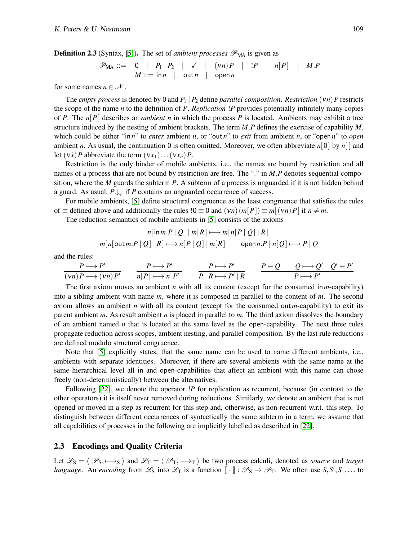**Definition 2.3** (Syntax, [\[5\]](#page-16-9)). The set of *ambient processes*  $\mathscr{P}_{MA}$  is given as

$$
\mathscr{P}_{\text{MA}} ::= \begin{array}{c|c|c|c|c|c|c} 0 & P_1 & P_2 & & \checkmark & (vn)P & | & !P & | & n[P] & | & M.P \\ \hline M ::= \text{in } n & \text{out } n & \text{open } n & & \end{array}
$$

for some names  $n \in \mathcal{N}$ .

The *empty process* is denoted by 0 and *P*<sup>1</sup> | *P*<sup>2</sup> define *parallel composition*. *Restriction* (ν*n*)*P* restricts the scope of the name *n* to the definition of *P*. *Replication* !*P* provides potentially infinitely many copies of *P*. The *n*[*P*] describes an *ambient n* in which the process *P* is located. Ambients may exhibit a tree structure induced by the nesting of ambient brackets. The term *M*.*P* defines the exercise of capability *M*, which could be either "in*n*" to *enter* ambient *n*, or "out*n*" to *exit* from ambient *n*, or "open*n*" to *open* ambient *n*. As usual, the continuation 0 is often omitted. Moreover, we often abbreviate *n*[0] by *n*[ ] and let  $(v\tilde{x})P$  abbreviate the term  $(vx_1)...(vx_n)P$ .

Restriction is the only binder of mobile ambients, i.e., the names are bound by restriction and all names of a process that are not bound by restriction are free. The "." in *M.P* denotes sequential composition, where the *M* guards the subterm *P*. A subterm of a process is unguarded if it is not hidden behind a guard. As usual,  $P \downarrow \sqrt{P}$  if *P* contains an unguarded occurrence of success.

For mobile ambients, [\[5\]](#page-16-9) define structural congruence as the least congruence that satisfies the rules of  $\equiv$  defined above and additionally the rules  $!0 \equiv 0$  and  $(vn)(m|P|) \equiv m[(vn)P]$  if  $n \neq m$ .

The reduction semantics of mobile ambients in [\[5\]](#page-16-9) consists of the axioms

$$
n[\text{in }m.P \mid Q] \mid m[R] \longmapsto m[n[P \mid Q] \mid R]
$$
  

$$
m[n[\text{out }m.P \mid Q] \mid R] \longmapsto n[P \mid Q] \mid m[R] \qquad \text{open } n.P \mid n[Q] \longmapsto P \mid Q
$$

and the rules:

$$
\frac{P \longmapsto P'}{(vn) P \longmapsto (vn) P'} \qquad \frac{P \longmapsto P'}{n[P] \longmapsto n[P']} \qquad \frac{P \longmapsto P'}{P \mid R \longmapsto P' \mid R} \qquad \frac{P \equiv Q \qquad Q \longmapsto Q' \quad Q' \equiv P'}{P \longmapsto P'}
$$

The first axiom moves an ambient *n* with all its content (except for the consumed in*m*-capability) into a sibling ambient with name *m*, where it is composed in parallel to the content of *m*. The second axiom allows an ambient *n* with all its content (except for the consumed out*m*-capability) to exit its parent ambient *m*. As result ambient *n* is placed in parallel to *m*. The third axiom dissolves the boundary of an ambient named *n* that is located at the same level as the open-capability. The next three rules propagate reduction across scopes, ambient nesting, and parallel composition. By the last rule reductions are defined modulo structural congruence.

Note that [\[5\]](#page-16-9) explicitly states, that the same name can be used to name different ambients, i.e., ambients with separate identities. Moreover, if there are several ambients with the same name at the same hierarchical level all in and open-capabilities that affect an ambient with this name can chose freely (non-deterministically) between the alternatives.

Following [\[22\]](#page-16-4), we denote the operator !*P* for replication as recurrent, because (in contrast to the other operators) it is itself never removed during reductions. Similarly, we denote an ambient that is not opened or moved in a step as recurrent for this step and, otherwise, as non-recurrent w.r.t. this step. To distinguish between different occurrences of syntactically the same subterm in a term, we assume that all capabilities of processes in the following are implicitly labelled as described in [\[22\]](#page-16-4).

#### <span id="page-5-0"></span>2.3 Encodings and Quality Criteria

Let  $\mathcal{L}_S = \langle \mathcal{P}_S, \rightarrow_S \rangle$  and  $\mathcal{L}_T = \langle \mathcal{P}_T, \rightarrow_T \rangle$  be two process calculi, denoted as *source* and *target language.* An *encoding* from  $\mathcal{L}_S$  into  $\mathcal{L}_T$  is a function  $[\![\cdot]\!] : \mathcal{P}_S \to \mathcal{P}_T$ . We often use  $S, S', S_1, \ldots$  to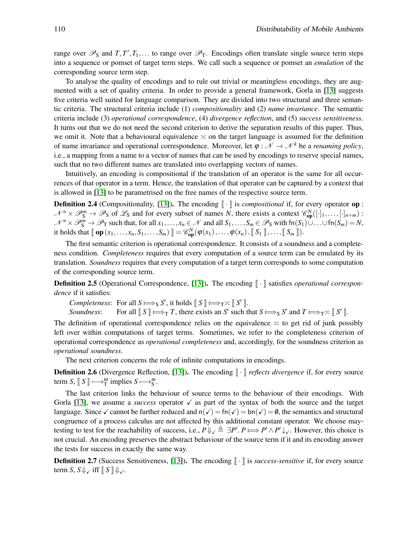range over  $\mathcal{P}_S$  and  $T, T', T_1, \ldots$  to range over  $\mathcal{P}_T$ . Encodings often translate single source term steps into a sequence or pomset of target term steps. We call such a sequence or pomset an *emulation* of the corresponding source term step.

To analyse the quality of encodings and to rule out trivial or meaningless encodings, they are augmented with a set of quality criteria. In order to provide a general framework, Gorla in [\[13\]](#page-16-11) suggests five criteria well suited for language comparison. They are divided into two structural and three semantic criteria. The structural criteria include (1) *compositionality* and (2) *name invariance*. The semantic criteria include (3) *operational correspondence*, (4) *divergence reflection*, and (5) *success sensitiveness*. It turns out that we do not need the second criterion to derive the separation results of this paper. Thus, we omit it. Note that a behavioural equivalence  $\approx$  on the target language is assumed for the definition of name invariance and operational correspondence. Moreover, let  $\varphi : \mathcal{N} \to \mathcal{N}^k$  be a *renaming policy*, i.e., a mapping from a name to a vector of names that can be used by encodings to reserve special names, such that no two different names are translated into overlapping vectors of names.

Intuitively, an encoding is compositional if the translation of an operator is the same for all occurrences of that operator in a term. Hence, the translation of that operator can be captured by a context that is allowed in [\[13\]](#page-16-11) to be parametrised on the free names of the respective source term.

<span id="page-6-0"></span>**Definition 2.4** (Compositionality, [\[13\]](#page-16-11)). The encoding  $\|\cdot\|$  is *compositional* if, for every operator op :  $\mathcal{N}^n \times \mathcal{P}_S^m \to \mathcal{P}_S$  of  $\mathcal{L}_S$  and for every subset of names *N*, there exists a context  $\mathcal{C}_{op}^N([\cdot]_1, \ldots, [\cdot]_{n+m})$ :  $\mathcal{N}^n \times \mathcal{P}_S^m \to \mathcal{P}_T$  such that, for all  $x_1, \ldots, x_n \in \mathcal{N}$  and all  $S_1, \ldots, S_m \in \mathcal{P}_S$  with  $fn(S_1) \cup \ldots \cup fn(S_m) = N$ , it holds that  $[\![\mathbf{op}(x_1,\ldots,x_n,S_1,\ldots,S_m)\!]\!] = \mathscr{C}_{\mathbf{op}}^N(\varphi(x_1),\ldots,\varphi(x_n), [\![S_1]\!]\!]\ldots, [\![S_m]\!])$ .

The first semantic criterion is operational correspondence. It consists of a soundness and a completeness condition. *Completeness* requires that every computation of a source term can be emulated by its translation. *Soundness* requires that every computation of a target term corresponds to some computation of the corresponding source term.

**Definition 2.5** (Operational Correspondence, [\[13\]](#page-16-11)). The encoding  $\|\cdot\|$  satisfies *operational correspondence* if it satisfies:

*Completeness*: For all  $S \Longrightarrow_S S'$ , it holds  $\llbracket S \rrbracket \Longrightarrow_T \asymp \llbracket S' \rrbracket$ .

*Soundness*: For all  $\llbracket S \rrbracket \Longrightarrow_T T$ , there exists an *S'* such that  $S \Longrightarrow_S S'$  and  $T \Longrightarrow_T \asymp \llbracket S' \rrbracket$ .

The definition of operational correspondence relies on the equivalence  $\approx$  to get rid of junk possibly left over within computations of target terms. Sometimes, we refer to the completeness criterion of operational correspondence as *operational completeness* and, accordingly, for the soundness criterion as *operational soundness*.

The next criterion concerns the role of infinite computations in encodings.

**Definition 2.6** (Divergence Reflection, [\[13\]](#page-16-11)). The encoding  $\|\cdot\|$  *reflects divergence* if, for every source term *S*,  $\llbracket S \rrbracket \longrightarrow_T^{\omega}$  implies  $S \longmapsto_S^{\omega}$ .

The last criterion links the behaviour of source terms to the behaviour of their encodings. With Gorla [\[13\]](#page-16-11), we assume a *success* operator  $\checkmark$  as part of the syntax of both the source and the target language. Since  $\checkmark$  cannot be further reduced and  $n(\checkmark) = \text{fn}(\checkmark) = \text{bn}(\checkmark) = \emptyset$ , the semantics and structural congruence of a process calculus are not affected by this additional constant operator. We choose maytesting to test for the reachability of success, i.e.,  $P \Downarrow_{\checkmark} \triangleq \exists P'. P \Longrightarrow P' \wedge P' \downarrow_{\checkmark}$ . However, this choice is not crucial. An encoding preserves the abstract behaviour of the source term if it and its encoding answer the tests for success in exactly the same way.

**Definition 2.7** (Success Sensitiveness, [\[13\]](#page-16-11)). The encoding  $\|\cdot\|$  is *success-sensitive* if, for every source term *S*,  $S \Downarrow \checkmark$  iff  $\lceil S \rceil \Downarrow \checkmark$ .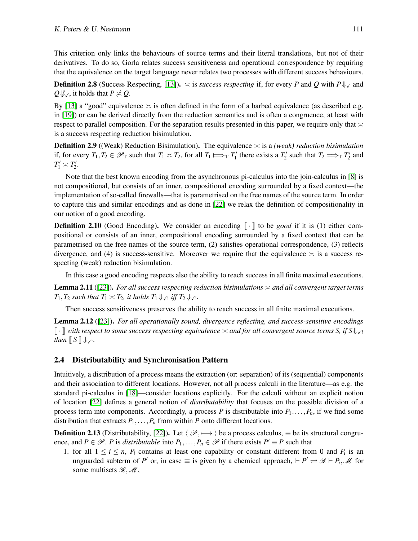This criterion only links the behaviours of source terms and their literal translations, but not of their derivatives. To do so, Gorla relates success sensitiveness and operational correspondence by requiring that the equivalence on the target language never relates two processes with different success behaviours.

**Definition 2.8** (Success Respecting, [\[13\]](#page-16-11)).  $\geq$  is *success respecting* if, for every *P* and *Q* with  $P \Downarrow_{\checkmark}$  and *Q* $\psi$ <sub>√</sub>, it holds that *P*  $\neq$  *Q*.

By [\[13\]](#page-16-11) a "good" equivalence  $\approx$  is often defined in the form of a barbed equivalence (as described e.g. in [\[19\]](#page-16-17)) or can be derived directly from the reduction semantics and is often a congruence, at least with respect to parallel composition. For the separation results presented in this paper, we require only that  $\approx$ is a success respecting reduction bisimulation.

**Definition 2.9** ((Weak) Reduction Bisimulation). The equivalence  $\approx$  is a *(weak) reduction bisimulation* if, for every  $T_1, T_2 \in \mathcal{P}_T$  such that  $T_1 \asymp T_2$ , for all  $T_1 \Longmapsto_T T'_1$  there exists a  $T'_2$  such that  $T_2 \Longmapsto_T T'_2$  and  $T_1' \asymp T_2'.$ 

Note that the best known encoding from the asynchronous pi-calculus into the join-calculus in [\[8\]](#page-16-14) is not compositional, but consists of an inner, compositional encoding surrounded by a fixed context—the implementation of so-called firewalls—that is parametrised on the free names of the source term. In order to capture this and similar encodings and as done in [\[22\]](#page-16-4) we relax the definition of compositionality in our notion of a good encoding.

<span id="page-7-2"></span>**Definition 2.10** (Good Encoding). We consider an encoding  $\|\cdot\|$  to be *good* if it is (1) either compositional or consists of an inner, compositional encoding surrounded by a fixed context that can be parametrised on the free names of the source term, (2) satisfies operational correspondence, (3) reflects divergence, and (4) is success-sensitive. Moreover we require that the equivalence  $\approx$  is a success respecting (weak) reduction bisimulation.

In this case a good encoding respects also the ability to reach success in all finite maximal executions.

Lemma 2.11 ([\[23\]](#page-16-18)). *For all success respecting reduction bisimulations* ≍ *and all convergent target terms*  $T_1, T_2$  *such that*  $T_1 \asymp T_2$ *, it holds*  $T_1 \Downarrow_{\mathcal{N}}$  *iff*  $T_2 \Downarrow_{\mathcal{N}}$ *.* 

Then success sensitiveness preserves the ability to reach success in all finite maximal executions.

Lemma 2.12 ([\[23\]](#page-16-18)). *For all operationally sound, divergence reflecting, and success-sensitive encodings*  $\|\cdot\|$  with respect to some success respecting equivalence  $\asymp$  and for all convergent source terms S, if  $S\Downarrow_{\mathcal{L}}$ ! then  $\llbracket S \rrbracket \Downarrow$   $\checkmark$ !

### <span id="page-7-0"></span>2.4 Distributability and Synchronisation Pattern

Intuitively, a distribution of a process means the extraction (or: separation) of its (sequential) components and their association to different locations. However, not all process calculi in the literature—as e.g. the standard pi-calculus in [\[18\]](#page-16-2)—consider locations explicitly. For the calculi without an explicit notion of location [\[22\]](#page-16-4) defines a general notion of *distributability* that focuses on the possible division of a process term into components. Accordingly, a process *P* is distributable into  $P_1, \ldots, P_n$ , if we find some distribution that extracts  $P_1, \ldots, P_n$  from within *P* onto different locations.

<span id="page-7-1"></span>**Definition 2.13** (Distributability, [\[22\]](#page-16-4)). Let  $\langle \mathcal{P}, \longmapsto \rangle$  be a process calculus,  $\equiv$  be its structural congruence, and  $P \in \mathcal{P}$ . *P* is *distributable* into  $P_1, \ldots, P_n \in \mathcal{P}$  if there exists  $P' \equiv P$  such that

1. for all  $1 \leq i \leq n$ ,  $P_i$  contains at least one capability or constant different from 0 and  $P_i$  is an unguarded subterm of *P*<sup> $\prime$ </sup> or, in case  $\equiv$  is given by a chemical approach,  $\vdash P' \rightleftharpoons \mathcal{R} \vdash P_i$ , *M* for some multisets  $\mathcal{R}, \mathcal{M}$ ,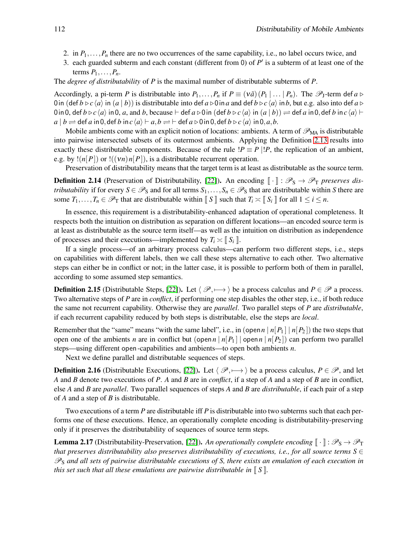- 2. in  $P_1, \ldots, P_n$  there are no two occurrences of the same capability, i.e., no label occurs twice, and
- 3. each guarded subterm and each constant (different from 0) of  $P'$  is a subterm of at least one of the terms  $P_1, \ldots, P_n$ .

The *degree of distributability* of *P* is the maximal number of distributable subterms of *P*.

Accordingly, a pi-term *P* is distributable into  $P_1, \ldots, P_n$  if  $P \equiv (v \tilde{a})(P_1 | \ldots | P_n)$ . The  $\mathscr{P}_1$ -term def  $a \triangleright$ 0 in  $(\text{def } b \triangleright c \langle a \rangle \text{ in } (a \mid b))$  is distributable into def  $a \triangleright 0$  in a and def  $b \triangleright c \langle a \rangle$  in b, but e.g. also into def  $a \triangleright$ 0in 0, def  $b \triangleright c \langle a \rangle$  in 0, *a*, and *b*, because ⊢ def  $a \triangleright 0$  in (def  $b \triangleright c \langle a \rangle$  in  $(a | b)$ )  $\rightleftharpoons$  def *a* in 0,def *b* in  $c \langle a \rangle$  ⊢  $a | b \rightleftharpoons$  def *a* in 0, def *b* in  $c \langle a \rangle \vdash a$ ,  $b \rightleftharpoons$   $\vdash$  def  $a \triangleright 0$  in 0, def  $b \triangleright c \langle a \rangle$  in 0, a, b.

Mobile ambients come with an explicit notion of locations: ambients. A term of  $\mathscr{P}_{MA}$  is distributable into pairwise intersected subsets of its outermost ambients. Applying the Definition [2.13](#page-7-1) results into exactly these distributable components. Because of the rule  $P \equiv P | P$ , the replication of an ambient, e.g. by  $!(n|P|)$  or  $!(\nu n)n[P]$ , is a distributable recurrent operation.

Preservation of distributability means that the target term is at least as distributable as the source term.

**Definition 2.14** (Preservation of Distributability, [\[22\]](#page-16-4)). An encoding  $\lceil \cdot \rceil$  :  $\mathcal{P}_S \to \mathcal{P}_T$  *preserves distributability* if for every  $S \in \mathcal{P}_S$  and for all terms  $S_1, \ldots, S_n \in \mathcal{P}_S$  that are distributable within *S* there are some  $T_1, \ldots, T_n \in \mathcal{P}_T$  that are distributable within  $\llbracket S \rrbracket$  such that  $T_i \asymp \llbracket S_i \rrbracket$  for all  $1 \leq i \leq n$ .

In essence, this requirement is a distributability-enhanced adaptation of operational completeness. It respects both the intuition on distribution as separation on different locations—an encoded source term is at least as distributable as the source term itself—as well as the intuition on distribution as independence of processes and their executions—implemented by  $T_i \approx \mathbb{I} S_i \mathbb{I}$ .

If a single process—of an arbitrary process calculus—can perform two different steps, i.e., steps on capabilities with different labels, then we call these steps alternative to each other. Two alternative steps can either be in conflict or not; in the latter case, it is possible to perform both of them in parallel, according to some assumed step semantics.

**Definition 2.15** (Distributable Steps, [\[22\]](#page-16-4)). Let  $\langle \mathcal{P}, \rightarrow \rangle$  be a process calculus and *P* ∈ P a process. Two alternative steps of *P* are in *conflict*, if performing one step disables the other step, i.e., if both reduce the same not recurrent capability. Otherwise they are *parallel*. Two parallel steps of *P* are *distributable*, if each recurrent capability reduced by both steps is distributable, else the steps are *local*.

Remember that the "same" means "with the same label", i.e., in (open  $n | n[P_1] | n[P_2]$ ) the two steps that open one of the ambients *n* are in conflict but (open *n* |  $n[P_1]$  | open  $n | n[P_2]$ ) can perform two parallel steps—using different open-capabilities and ambients—to open both ambients *n*.

Next we define parallel and distributable sequences of steps.

**Definition 2.16** (Distributable Executions, [\[22\]](#page-16-4)). Let  $\langle \mathcal{P}, \longmapsto \rangle$  be a process calculus,  $P \in \mathcal{P}$ , and let *A* and *B* denote two executions of *P*. *A* and *B* are in *conflict*, if a step of *A* and a step of *B* are in conflict, else *A* and *B* are *parallel*. Two parallel sequences of steps *A* and *B* are *distributable*, if each pair of a step of *A* and a step of *B* is distributable.

Two executions of a term *P* are distributable iff *P* is distributable into two subterms such that each performs one of these executions. Hence, an operationally complete encoding is distributability-preserving only if it preserves the distributability of sequences of source term steps.

**Lemma 2.17** (Distributability-Preservation, [\[22\]](#page-16-4)). An operationally complete encoding  $\|\cdot\|$ :  $\mathscr{P}_S \to \mathscr{P}_T$ *that preserves distributability also preserves distributability of executions, i.e., for all source terms*  $S \in$ P<sup>S</sup> *and all sets of pairwise distributable executions of S, there exists an emulation of each execution in this set such that all these emulations are pairwise distributable in*  $\llbracket S \rrbracket$ *.*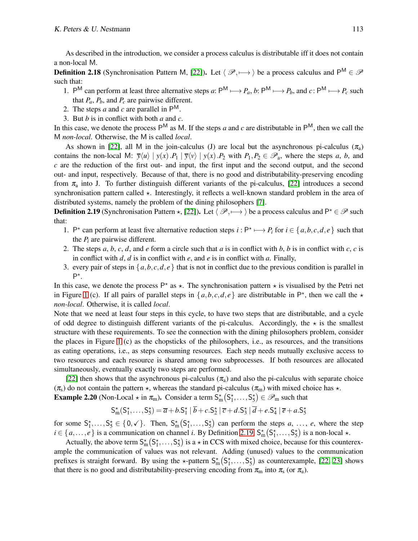As described in the introduction, we consider a process calculus is distributable iff it does not contain a non-local M.

**Definition 2.18** (Synchronisation Pattern M, [\[22\]](#page-16-4)). Let  $\langle \mathcal{P}, \longmapsto \rangle$  be a process calculus and P<sup>M</sup>  $\in \mathcal{P}$ such that:

- 1.  $P^M$  can perform at least three alternative steps *a*:  $P^M \rightarrowtail P_a$ , *b*:  $P^M \rightarrowtail P_b$ , and  $c: P^M \rightarrowtail P_c$  such that  $P_a$ ,  $P_b$ , and  $P_c$  are pairwise different.
- 2. The steps  $a$  and  $c$  are parallel in  $P^M$ .
- 3. But *b* is in conflict with both *a* and *c*.

In this case, we denote the process  $P^M$  as M. If the steps *a* and *c* are distributable in  $P^M$ , then we call the M *non-local*. Otherwise, the M is called *local*.

As shown in [\[22\]](#page-16-4), all M in the join-calculus (J) are local but the asynchronous pi-calculus  $(\pi_a)$ contains the non-local M:  $\overline{y}\langle u \rangle | y(x) . P_1 | \overline{y}\langle v \rangle | y(x) . P_2$  with  $P_1, P_2 \in \mathscr{P}_a$ , where the steps *a*, *b*, and *c* are the reduction of the first out- and input, the first input and the second output, and the second out- and input, respectively. Because of that, there is no good and distributability-preserving encoding from  $\pi_a$  into J. To further distinguish different variants of the pi-calculus, [\[22\]](#page-16-4) introduces a second synchronisation pattern called  $\star$ . Interestingly, it reflects a well-known standard problem in the area of distributed systems, namely the problem of the dining philosophers [\[7\]](#page-16-19).

<span id="page-9-0"></span>**Definition 2.19** (Synchronisation Pattern  $\star$ , [\[22\]](#page-16-4)). Let  $\langle \mathcal{P}, \longmapsto \rangle$  be a process calculus and P<sup> $\star \in \mathcal{P}$  such</sup> that:

- 1. P<sup>\*</sup> can perform at least five alternative reduction steps  $i : P^* \mapsto P_i$  for  $i \in \{a, b, c, d, e\}$  such that the *P<sup>i</sup>* are pairwise different.
- 2. The steps *a*, *b*, *c*, *d*, and *e* form a circle such that *a* is in conflict with *b*, *b* is in conflict with *c*, *c* is in conflict with *d*, *d* is in conflict with *e*, and *e* is in conflict with *a*. Finally,
- 3. every pair of steps in  $\{a,b,c,d,e\}$  that is not in conflict due to the previous condition is parallel in P\*.

In this case, we denote the process  $P^*$  as  $\star$ . The synchronisation pattern  $\star$  is visualised by the Petri net in Figure [1](#page-1-0) (c). If all pairs of parallel steps in  $\{a,b,c,d,e\}$  are distributable in  $\mathsf{P}^*$ , then we call the  $\star$ *non-local*. Otherwise, it is called *local*.

Note that we need at least four steps in this cycle, to have two steps that are distributable, and a cycle of odd degree to distinguish different variants of the pi-calculus. Accordingly, the  $\star$  is the smallest structure with these requirements. To see the connection with the dining philosophers problem, consider the places in Figure [1](#page-1-0) (c) as the chopsticks of the philosophers, i.e., as resources, and the transitions as eating operations, i.e., as steps consuming resources. Each step needs mutually exclusive access to two resources and each resource is shared among two subprocesses. If both resources are allocated simultaneously, eventually exactly two steps are performed.

[\[22\]](#page-16-4) then shows that the asynchronous pi-calculus ( $\pi_a$ ) and also the pi-calculus with separate choice  $(\pi_s)$  do not contain the pattern  $\star$ , whereas the standard pi-calculus  $(\pi_m)$  with mixed choice has  $\star$ . **Example 2.20** (Non-Local  $\star$  in  $\pi_m$ ). Consider a term  $S_m^{\star}(S_1^{\star},...,S_5^{\star}) \in \mathscr{P}_m$  such that

$$
S_{\text{m}}^{\star}(S_{1}^{\star},\ldots,S_{5}^{\star})=\overline{a}+b.S_{1}^{\star}|\overline{b}+c.S_{2}^{\star}|\overline{c}+d.S_{3}^{\star}|\overline{d}+e.S_{4}^{\star}|\overline{e}+a.S_{5}^{\star}
$$

for some  $S_1^*,...,S_5^* \in \{0,\checkmark\}$ . Then,  $S_m^*(S_1^*,...,S_5^*)$  can perform the steps *a*, ..., *e*, where the step  $i \in \{a, \ldots, e\}$  is a communication on channel *i*. By Definition [2.19,](#page-9-0)  $S_m^*(S_1^*, \ldots, S_5^*)$  is a non-local  $\star$ .

Actually, the above term  $S_m^*(S_1^*,...,S_5^*)$  is a  $\star$  in CCS with mixed choice, because for this counterexample the communication of values was not relevant. Adding (unused) values to the communication prefixes is straight forward. By using the  $\star$ -pattern  $S_m^*(S_1^*,...,S_5^*)$  as counterexample, [\[22,](#page-16-4) [23\]](#page-16-18) shows that there is no good and distributability-preserving encoding from  $\pi_{m}$  into  $\pi_{s}$  (or  $\pi_{a}$ ).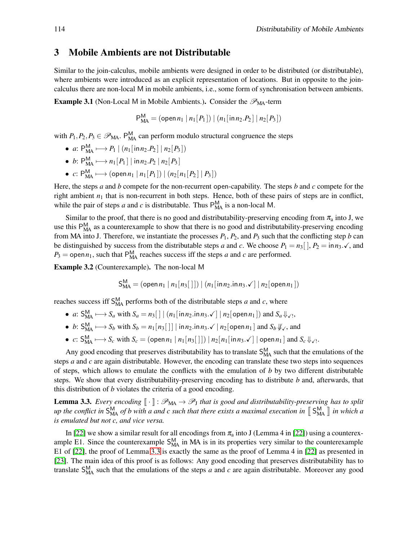# <span id="page-10-0"></span>3 Mobile Ambients are not Distributable

Similar to the join-calculus, mobile ambients were designed in order to be distributed (or distributable), where ambients were introduced as an explicit representation of locations. But in opposite to the joincalculus there are non-local M in mobile ambients, i.e., some form of synchronisation between ambients.

<span id="page-10-2"></span>**Example 3.1** (Non-Local M in Mobile Ambients.). Consider the  $\mathscr{P}_{MA}$ -term

$$
P_{MA}^M = (\text{open } n_1 \mid n_1[P_1]) \mid (n_1[\text{in } n_2.P_2] \mid n_2[P_3])
$$

with  $P_1, P_2, P_3 \in \mathcal{P}_{\text{MA}}$ . P<sub>MA</sub> can perform modulo structural congruence the steps

- *a*:  $P_{\text{MA}}^{\text{M}} \longmapsto P_1 \mid (n_1[\text{in} n_2.P_2] \mid n_2[P_3])$
- *b*:  $P_{\text{MA}}^{\text{M}} \longmapsto n_1[P_1] | \text{in} n_2.P_2 | n_2[P_3]$
- *c*:  $P_{MA}^{M}$  ← (open *n*<sub>1</sub> | *n*<sub>1</sub>[*P*<sub>1</sub>]) | (*n*<sub>2</sub>[*n*<sub>1</sub>[*P*<sub>2</sub>] | *P*<sub>3</sub>])

Here, the steps *a* and *b* compete for the non-recurrent open-capability. The steps *b* and *c* compete for the right ambient  $n_1$  that is non-recurrent in both steps. Hence, both of these pairs of steps are in conflict, while the pair of steps *a* and *c* is distributable. Thus  $P_{MA}^{M}$  is a non-local M.

Similar to the proof, that there is no good and distributability-preserving encoding from  $\pi_a$  into J, we use this P<sub>MA</sub> as a counterexample to show that there is no good and distributability-preserving encoding from MA into J. Therefore, we instantiate the processes  $P_1$ ,  $P_2$ , and  $P_3$  such that the conflicting step *b* can be distinguished by success from the distributable steps *a* and *c*. We choose  $P_1 = n_3$ ,  $P_2 = \ln n_3$ .  $\checkmark$ , and  $P_3$  = open  $n_1$ , such that P<sub>MA</sub> reaches success iff the steps *a* and *c* are performed.

Example 3.2 (Counterexample). The non-local M

$$
\mathsf{S}_{\mathsf{MA}}^{\mathsf{M}} = (\mathsf{open}\, n_1 \,|\, n_1[n_3[\,])\,|\, (n_1[\mathsf{in}\, n_2.\mathsf{in}\, n_3.\checkmark\,]\,|\, n_2[\mathsf{open}\, n_1])
$$

reaches success iff  $S_{MA}^{M}$  performs both of the distributable steps *a* and *c*, where

- *a*:  $S_{MA}^M \longrightarrow S_a$  with  $S_a = n_3 \left[ \right] | (n_1 \left[ \text{in } n_2 \cdot \text{in } n_3 \cdot \checkmark \right] | n_2 \left[ \text{open } n_1 \right] )$  and  $S_a \Downarrow_{\checkmark},$
- *b*:  $S_{\text{MA}}^M \longrightarrow S_b$  with  $S_b = n_1[n_3[$  | | in  $n_2 \cdot \text{in } n_3 \cdot \text{in } n_2[$  open  $n_1$  | and  $S_b \psi_{\text{in}}$ , and
- $\bullet$  *c*:  $S_{MA}^{M} \rightarrow S_{c}$  with  $S_{c} = (\text{open } n_{1} | n_{1}[n_{3}[]]) | n_{2}[n_{1}[in n_{3}]\cdot \sqrt{)] \text{open } n_{1} ]$  and  $S_{c} \Downarrow \sqrt{1}$ .

Any good encoding that preserves distributability has to translate  $S_{MA}^M$  such that the emulations of the steps *a* and *c* are again distributable. However, the encoding can translate these two steps into sequences of steps, which allows to emulate the conflicts with the emulation of *b* by two different distributable steps. We show that every distributability-preserving encoding has to distribute *b* and, afterwards, that this distribution of *b* violates the criteria of a good encoding.

<span id="page-10-1"></span>**Lemma 3.3.** *Every encoding*  $[\![\cdot]\!] : \mathscr{P}_{MA} \to \mathscr{P}_{J}$  *that is good and distributability-preserving has to split up the conflict in*  $S_{\text{MA}}^{\text{M}}$  *of b with a and c such that there exists a maximal execution in*  $\lbrack S_{\text{MA}}^{\text{M}} \rbrack$  *in which a is emulated but not c, and vice versa.*

In [\[22\]](#page-16-4) we show a similar result for all encodings from  $\pi_a$  into J (Lemma 4 in [\[22\]](#page-16-4)) using a counterexample E1. Since the counterexample  $S_{MA}^{M}$  in MA is in its properties very similar to the counterexample E1 of [\[22\]](#page-16-4), the proof of Lemma [3.3](#page-10-1) is exactly the same as the proof of Lemma 4 in [\[22\]](#page-16-4) as presented in [\[23\]](#page-16-18). The main idea of this proof is as follows: Any good encoding that preserves distributability has to translate  $S_{\text{MA}}^{\text{M}}$  such that the emulations of the steps *a* and *c* are again distributable. Moreover any good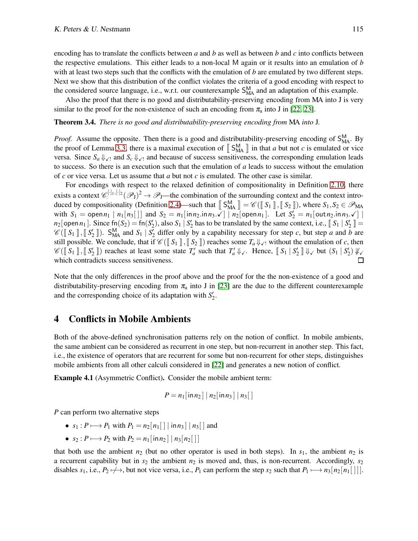encoding has to translate the conflicts between *a* and *b* as well as between *b* and *c* into conflicts between the respective emulations. This either leads to a non-local M again or it results into an emulation of *b* with at least two steps such that the conflicts with the emulation of *b* are emulated by two different steps. Next we show that this distribution of the conflict violates the criteria of a good encoding with respect to the considered source language, i.e., w.r.t. our counterexample  $S_{MA}^{M}$  and an adaptation of this example.

Also the proof that there is no good and distributability-preserving encoding from MA into J is very similar to the proof for the non-existence of such an encoding from  $\pi_a$  into J in [\[22,](#page-16-4) [23\]](#page-16-18).

<span id="page-11-1"></span>Theorem 3.4. *There is no good and distributability-preserving encoding from* MA *into* J*.*

*Proof.* Assume the opposite. Then there is a good and distributability-preserving encoding of  $S_{MA}^{M}$ . By the proof of Lemma [3.3,](#page-10-1) there is a maximal execution of  $\llbracket S_{\text{MA}}^{\text{M}} \rrbracket$  in that *a* but not *c* is emulated or vice versa. Since  $S_a \Downarrow_{\mathcal{N}}$  and  $S_c \Downarrow_{\mathcal{N}}$  and because of success sensitiveness, the corresponding emulation leads to success. So there is an execution such that the emulation of *a* leads to success without the emulation of *c* or vice versa. Let us assume that *a* but not *c* is emulated. The other case is similar.

For encodings with respect to the relaxed definition of compositionality in Definition [2.10,](#page-7-2) there exists a context  $\mathscr{C}^{[\cdot]_1,[\cdot]_2}(\mathscr{P}_J)^2 \to \mathscr{P}_J$ —the combination of the surrounding context and the context intro-duced by compositionality (Definition [2.4\)](#page-6-0)—such that  $\llbracket S_{\text{MA}}^{\text{M}} \rrbracket = \mathscr{C}(\llbracket S_1 \rrbracket, \llbracket S_2 \rrbracket)$ , where  $S_1, S_2 \in \mathscr{P}_{\text{MA}}$ with  $S_1 = \text{open } n_1 | n_1[n_3[]]$  and  $S_2 = n_1[\text{inn}_2.\text{inn}_3.\check{\checkmark}] | n_2[\text{open } n_1]$ . Let  $S_2' = n_1[\text{out}_2.\text{inn}_3.\checkmark]$  $n_2$ [open $n_1$ ]. Since  $f_n(S_2) = f_n(S'_2)$ , also  $S_1 \mid S'_2$  has to be translated by the same context, i.e.,  $\llbracket S_1 \mid S'_2 \rrbracket =$  $\mathscr{C}(\llbracket S_1 \rrbracket, \llbracket S_2 \rrbracket)$ .  $S_{MA}^M$  and  $S_1 \mid S_2^V$  differ only by a capability necessary for step *c*, but step *a* and *b* are still possible. We conclude, that if  $\mathscr{C}(\mathbb{I} S_1 \mathbb{I}, \mathbb{I} S_2 \mathbb{I})$  reaches some  $T_a \psi_{\mathcal{N}!}$  without the emulation of *c*, then  $\mathscr{C}(\llbracket S_1 \rrbracket, \llbracket S_2' \rrbracket)$  reaches at least some state  $T'_a$  such that  $T'_a \Downarrow \checkmark$ . Hence,  $\llbracket S_1 \mid S_2' \rrbracket \Downarrow \checkmark$  but  $(S_1 \mid S_2') \Downarrow \checkmark$ which contradicts success sensitiveness.  $\Box$ 

Note that the only differences in the proof above and the proof for the the non-existence of a good and distributability-preserving encoding from  $\pi_a$  into J in [\[23\]](#page-16-18) are the due to the different counterexample and the corresponding choice of its adaptation with  $S'_2$ .

## <span id="page-11-0"></span>4 Conflicts in Mobile Ambients

Both of the above-defined synchronisation patterns rely on the notion of conflict. In mobile ambients, the same ambient can be considered as recurrent in one step, but non-recurrent in another step. This fact, i.e., the existence of operators that are recurrent for some but non-recurrent for other steps, distinguishes mobile ambients from all other calculi considered in [\[22\]](#page-16-4) and generates a new notion of conflict.

Example 4.1 (Asymmetric Conflict). Consider the mobile ambient term:

$$
P = n_1[\operatorname{in} n_2] | n_2[\operatorname{in} n_3] | n_3[]
$$

*P* can perform two alternative steps

- $s_1$ :  $P \longmapsto P_1$  with  $P_1 = n_2[n_1] | \text{in } n_3 | n_4$ [ ] and
- $s_2: P \longmapsto P_2$  with  $P_2 = n_1 \lfloor \ln n_2 \rfloor \lfloor n_3 \lfloor n_2 \rfloor \rfloor$

that both use the ambient  $n_2$  (but no other operator is used in both steps). In  $s_1$ , the ambient  $n_2$  is a recurrent capability but in  $s_2$  the ambient  $n_2$  is moved and, thus, is non-recurrent. Accordingly,  $s_2$ disables  $s_1$ , i.e.,  $P_2 \nleftrightarrow$ , but not vice versa, i.e.,  $P_1$  can perform the step  $s_2$  such that  $P_1 \nleftrightarrow n_3[n_2[n_1]]$ .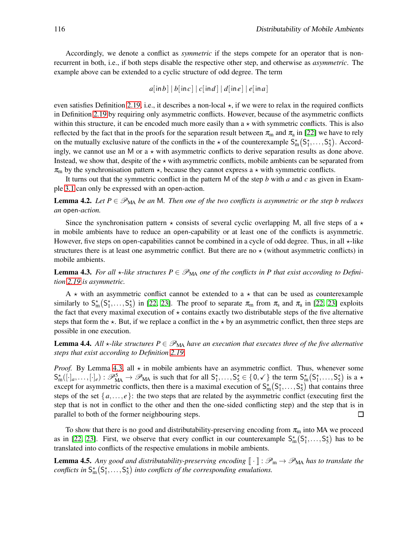Accordingly, we denote a conflict as *symmetric* if the steps compete for an operator that is nonrecurrent in both, i.e., if both steps disable the respective other step, and otherwise as *asymmetric*. The example above can be extended to a cyclic structure of odd degree. The term

$$
a[\mathsf{in} \, b \,] \, | \, b[\mathsf{in} \, c] \, | \, c[\mathsf{in} \, d] \, | \, d[\mathsf{in} \, e] \, | \, e[\mathsf{in} \, a]
$$

even satisfies Definition [2.19,](#page-9-0) i.e., it describes a non-local  $\star$ , if we were to relax in the required conflicts in Definition [2.19](#page-9-0) by requiring only asymmetric conflicts. However, because of the asymmetric conflicts within this structure, it can be encoded much more easily than  $a \star$  with symmetric conflicts. This is also reflected by the fact that in the proofs for the separation result between  $\pi_m$  and  $\pi_a$  in [\[22\]](#page-16-4) we have to rely on the mutually exclusive nature of the conflicts in the  $\star$  of the counterexample  $S_m^*(S_1^*,...,S_5^*)$ . Accordingly, we cannot use an M or  $a \star$  with asymmetric conflicts to derive separation results as done above. Instead, we show that, despite of the  $\star$  with asymmetric conflicts, mobile ambients can be separated from  $\pi_{\rm m}$  by the synchronisation pattern  $\star$ , because they cannot express a  $\star$  with symmetric conflicts.

It turns out that the symmetric conflict in the pattern M of the step *b* with *a* and *c* as given in Example [3.1](#page-10-2) can only be expressed with an open-action.

<span id="page-12-1"></span>**Lemma 4.2.** Let  $P \in \mathcal{P}_{\text{MA}}$  be an M. Then one of the two conflicts is asymmetric or the step b reduces *an* open*-action.*

Since the synchronisation pattern  $\star$  consists of several cyclic overlapping M, all five steps of a  $\star$ in mobile ambients have to reduce an open-capability or at least one of the conflicts is asymmetric. However, five steps on open-capabilities cannot be combined in a cycle of odd degree. Thus, in all  $\star$ -like structures there is at least one asymmetric conflict. But there are no  $\star$  (without asymmetric conflicts) in mobile ambients.

<span id="page-12-0"></span>**Lemma 4.3.** For all  $\star$ -like structures  $P \in \mathcal{P}_{\text{MA}}$  one of the conflicts in P that exist according to Defini*tion [2.19](#page-9-0) is asymmetric.*

A  $\star$  with an asymmetric conflict cannot be extended to a  $\star$  that can be used as counterexample similarly to  $S_m^*(S_1^*,...,S_5^*)$  in [\[22,](#page-16-4) [23\]](#page-16-18). The proof to separate  $\pi_m$  from  $\pi_s$  and  $\pi_a$  in [\[22,](#page-16-4) 23] exploits the fact that every maximal execution of  $\star$  contains exactly two distributable steps of the five alternative steps that form the  $\star$ . But, if we replace a conflict in the  $\star$  by an asymmetric conflict, then three steps are possible in one execution.

**Lemma 4.4.** All  $\star$ -like structures  $P \in \mathcal{P}_{\text{MA}}$  have an execution that executes three of the five alternative *steps that exist according to Definition [2.19.](#page-9-0)*

*Proof.* By Lemma [4.3,](#page-12-0) all  $\star$  in mobile ambients have an asymmetric conflict. Thus, whenever some  $S_m^{\star}([\cdot]_a,\ldots,[\cdot]_e): \mathscr{P}_{MA}^5 \to \mathscr{P}_{MA}$  is such that for all  $S_1^{\star},\ldots,S_5^{\star} \in \{0,\checkmark\}$  the term  $S_m^{\star}(S_1^{\star},\ldots,S_5^{\star})$  is a  $\star$ except for asymmetric conflicts, then there is a maximal execution of  $S_m^*(S_1^*,...,S_5^*)$  that contains three steps of the set  $\{a, \ldots, e\}$ : the two steps that are related by the asymmetric conflict (executing first the step that is not in conflict to the other and then the one-sided conflicting step) and the step that is in parallel to both of the former neighbouring steps.  $\Box$ 

To show that there is no good and distributability-preserving encoding from  $\pi_{m}$  into MA we proceed as in [\[22,](#page-16-4) [23\]](#page-16-18). First, we observe that every conflict in our counterexample  $S_m^*(S_1^*,...,S_5^*)$  has to be translated into conflicts of the respective emulations in mobile ambients.

**Lemma 4.5.** Any good and distributability-preserving encoding  $\lceil \cdot \rceil \colon \mathcal{P}_{m} \to \mathcal{P}_{MA}$  has to translate the conflicts in  $S_m^*(S_1^*,...,S_5^*)$  into conflicts of the corresponding emulations.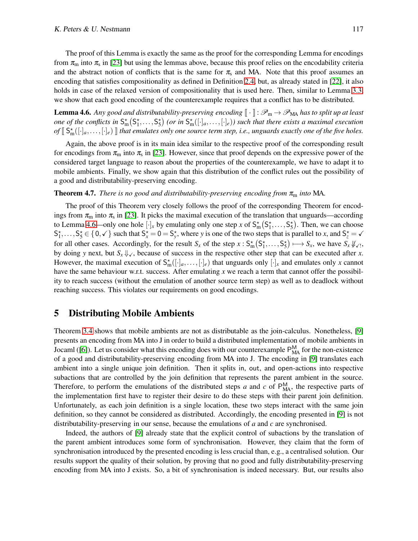The proof of this Lemma is exactly the same as the proof for the corresponding Lemma for encodings from  $\pi_m$  into  $\pi_s$  in [\[23\]](#page-16-18) but using the lemmas above, because this proof relies on the encodability criteria and the abstract notion of conflicts that is the same for  $\pi_s$  and MA. Note that this proof assumes an encoding that satisfies compositionality as defined in Definition [2.4,](#page-6-0) but, as already stated in [\[22\]](#page-16-4), it also holds in case of the relaxed version of compositionality that is used here. Then, similar to Lemma [3.3,](#page-10-1) we show that each good encoding of the counterexample requires that a conflict has to be distributed.

<span id="page-13-1"></span>**Lemma 4.6.** Any good and distributability-preserving encoding  $\|\cdot\|$  :  $\mathscr{P}_{m} \to \mathscr{P}_{MA}$  has to split up at least *one of the conflicts in*  $S_m^*(S_1^*,...,S_5^*)$  (or in  $S_m^*([\cdot]_a,...,[\cdot]_e)$ ) such that there exists a maximal execution  $of \llbracket S_m^*([\cdot]_a,\ldots,[\cdot]_e) \rrbracket$  that emulates only one source term step, i.e., unguards exactly one of the five holes.

Again, the above proof is in its main idea similar to the respective proof of the corresponding result for encodings from  $\pi_m$  into  $\pi_s$  in [\[23\]](#page-16-18). However, since that proof depends on the expressive power of the considered target language to reason about the properties of the counterexample, we have to adapt it to mobile ambients. Finally, we show again that this distribution of the conflict rules out the possibility of a good and distributability-preserving encoding.

#### <span id="page-13-2"></span>**Theorem 4.7.** *There is no good and distributability-preserving encoding from*  $\pi_{m}$  *into* MA.

The proof of this Theorem very closely follows the proof of the corresponding Theorem for encodings from  $\pi_m$  into  $\pi_s$  in [\[23\]](#page-16-18). It picks the maximal execution of the translation that unguards—according to Lemma [4.6—](#page-13-1)only one hole  $[\cdot]_x$  by emulating only one step *x* of  $S_m^{\star}(S_1^{\star},...,S_5^{\star})$ . Then, we can choose  $S_1^*,\ldots,S_5^* \in \{0,\checkmark\}$  such that  $S_x^* = 0 = S_y^*$ , where *y* is one of the two steps that is parallel to *x*, and  $S_z^* = \checkmark$ for all other cases. Accordingly, for the result  $S_x$  of the step  $x: S_m^*(S_1^*, \ldots, S_5^*) \mapsto S_x$ , we have  $S_x \nvDash_{\checkmark}$ , by doing *y* next, but  $S_x \psi_{\checkmark}$ , because of success in the respective other step that can be executed after *x*. However, the maximal execution of  $S_m^{\star}([\cdot]_a,\ldots,[\cdot]_e)$  that unguards only  $[\cdot]_x$  and emulates only *x* cannot have the same behaviour w.r.t. success. After emulating x we reach a term that cannot offer the possibility to reach success (without the emulation of another source term step) as well as to deadlock without reaching success. This violates our requirements on good encodings.

## <span id="page-13-0"></span>5 Distributing Mobile Ambients

Theorem [3.4](#page-11-1) shows that mobile ambients are not as distributable as the join-calculus. Nonetheless, [\[9\]](#page-16-20) presents an encoding from MA into J in order to build a distributed implementation of mobile ambients in Jocaml ([\[6\]](#page-16-21)). Let us consider what this encoding does with our counterexample  $P_{MA}^{M}$  for the non-existence of a good and distributability-preserving encoding from MA into J. The encoding in [\[9\]](#page-16-20) translates each ambient into a single unique join definition. Then it splits in, out, and open-actions into respective subactions that are controlled by the join definition that represents the parent ambient in the source. Therefore, to perform the emulations of the distributed steps *a* and *c* of  $P_{\text{MA}}^{\text{M}}$ , the respective parts of the implementation first have to register their desire to do these steps with their parent join definition. Unfortunately, as each join definition is a single location, these two steps interact with the same join definition, so they cannot be considered as distributed. Accordingly, the encoding presented in [\[9\]](#page-16-20) is not distributability-preserving in our sense, because the emulations of *a* and *c* are synchronised.

Indeed, the authors of [\[9\]](#page-16-20) already state that the explicit control of subactions by the translation of the parent ambient introduces some form of synchronisation. However, they claim that the form of synchronisation introduced by the presented encoding is less crucial than, e.g., a centralised solution. Our results support the quality of their solution, by proving that no good and fully distributability-preserving encoding from MA into J exists. So, a bit of synchronisation is indeed necessary. But, our results also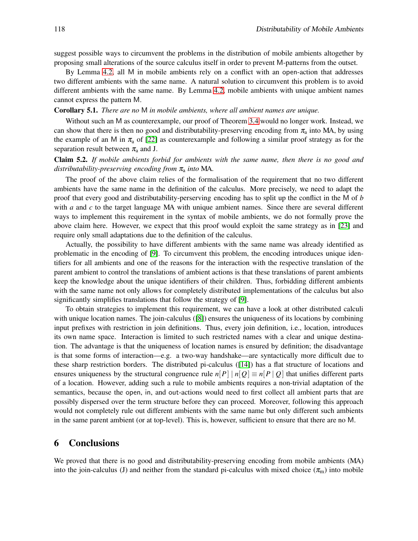suggest possible ways to circumvent the problems in the distribution of mobile ambients altogether by proposing small alterations of the source calculus itself in order to prevent M-patterns from the outset.

By Lemma [4.2,](#page-12-1) all M in mobile ambients rely on a conflict with an open-action that addresses two different ambients with the same name. A natural solution to circumvent this problem is to avoid different ambients with the same name. By Lemma [4.2,](#page-12-1) mobile ambients with unique ambient names cannot express the pattern M.

#### Corollary 5.1. *There are no* M *in mobile ambients, where all ambient names are unique.*

Without such an M as counterexample, our proof of Theorem [3.4](#page-11-1) would no longer work. Instead, we can show that there is then no good and distributability-preserving encoding from  $\pi_a$  into MA, by using the example of an M in  $\pi_a$  of [\[22\]](#page-16-4) as counterexample and following a similar proof strategy as for the separation result between  $\pi_a$  and J.

### Claim 5.2. *If mobile ambients forbid for ambients with the same name, then there is no good and distributability-preserving encoding from*  $\pi$ <sub>a</sub> *into* MA.

The proof of the above claim relies of the formalisation of the requirement that no two different ambients have the same name in the definition of the calculus. More precisely, we need to adapt the proof that every good and distributability-perserving encoding has to split up the conflict in the M of *b* with *a* and *c* to the target language MA with unique ambient names. Since there are several different ways to implement this requirement in the syntax of mobile ambients, we do not formally prove the above claim here. However, we expect that this proof would exploit the same strategy as in [\[23\]](#page-16-18) and require only small adaptations due to the definition of the calculus.

Actually, the possibility to have different ambients with the same name was already identified as problematic in the encoding of [\[9\]](#page-16-20). To circumvent this problem, the encoding introduces unique identifiers for all ambients and one of the reasons for the interaction with the respective translation of the parent ambient to control the translations of ambient actions is that these translations of parent ambients keep the knowledge about the unique identifiers of their children. Thus, forbidding different ambients with the same name not only allows for completely distributed implementations of the calculus but also significantly simplifies translations that follow the strategy of [\[9\]](#page-16-20).

To obtain strategies to implement this requirement, we can have a look at other distributed calculi with unique location names. The join-calculus ([\[8\]](#page-16-14)) ensures the uniqueness of its locations by combining input prefixes with restriction in join definitions. Thus, every join definition, i.e., location, introduces its own name space. Interaction is limited to such restricted names with a clear and unique destination. The advantage is that the uniqueness of location names is ensured by definition; the disadvantage is that some forms of interaction—e.g. a two-way handshake—are syntactically more difficult due to these sharp restriction borders. The distributed pi-calculus ([\[14\]](#page-16-1)) has a flat structure of locations and ensures uniqueness by the structural congruence rule  $n[P] \mid n[Q] \equiv n[P \mid Q]$  that unifies different parts of a location. However, adding such a rule to mobile ambients requires a non-trivial adaptation of the semantics, because the open, in, and out-actions would need to first collect all ambient parts that are possibly dispersed over the term structure before they can proceed. Moreover, following this approach would not completely rule out different ambients with the same name but only different such ambients in the same parent ambient (or at top-level). This is, however, sufficient to ensure that there are no M.

### <span id="page-14-0"></span>6 Conclusions

We proved that there is no good and distributability-preserving encoding from mobile ambients (MA) into the join-calculus (J) and neither from the standard pi-calculus with mixed choice  $(\pi_m)$  into mobile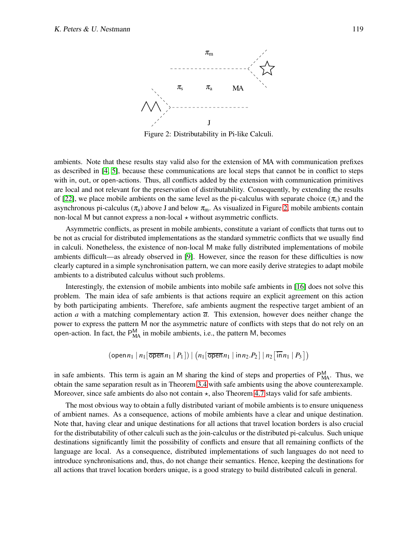

<span id="page-15-0"></span>Figure 2: Distributability in Pi-like Calculi.

ambients. Note that these results stay valid also for the extension of MA with communication prefixes as described in [\[4,](#page-16-8) [5\]](#page-16-9), because these communications are local steps that cannot be in conflict to steps with in, out, or open-actions. Thus, all conflicts added by the extension with communication primitives are local and not relevant for the preservation of distributability. Consequently, by extending the results of [\[22\]](#page-16-4), we place mobile ambients on the same level as the pi-calculus with separate choice  $(\pi_s)$  and the asynchronous pi-calculus ( $\pi_a$ ) above J and below  $\pi_m$ . As visualized in Figure [2,](#page-15-0) mobile ambients contain non-local M but cannot express a non-local  $\star$  without asymmetric conflicts.

Asymmetric conflicts, as present in mobile ambients, constitute a variant of conflicts that turns out to be not as crucial for distributed implementations as the standard symmetric conflicts that we usually find in calculi. Nonetheless, the existence of non-local M make fully distributed implementations of mobile ambients difficult—as already observed in [\[9\]](#page-16-20). However, since the reason for these difficulties is now clearly captured in a simple synchronisation pattern, we can more easily derive strategies to adapt mobile ambients to a distributed calculus without such problems.

Interestingly, the extension of mobile ambients into mobile safe ambients in [\[16\]](#page-16-22) does not solve this problem. The main idea of safe ambients is that actions require an explicit agreement on this action by both participating ambients. Therefore, safe ambients augment the respective target ambient of an action *a* with a matching complementary action  $\overline{a}$ . This extension, however does neither change the power to express the pattern M nor the asymmetric nature of conflicts with steps that do not rely on an open-action. In fact, the  $P_{MA}^{M}$  in mobile ambients, i.e., the pattern M, becomes

$$
(\text{open } n_1 \mid n_1[\overline{\text{open}}\, n_1 \mid P_1]) \mid (n_1[\overline{\text{open}}\, n_1 \mid \text{in} \, n_2 \cdot P_2] \mid n_2[\overline{\text{in}}\, n_1 \mid P_3])
$$

in safe ambients. This term is again an M sharing the kind of steps and properties of  $P_{MA}^{M}$ . Thus, we obtain the same separation result as in Theorem [3.4](#page-11-1) with safe ambients using the above counterexample. Moreover, since safe ambients do also not contain  $\star$ , also Theorem [4.7](#page-13-2) stays valid for safe ambients.

The most obvious way to obtain a fully distributed variant of mobile ambients is to ensure uniqueness of ambient names. As a consequence, actions of mobile ambients have a clear and unique destination. Note that, having clear and unique destinations for all actions that travel location borders is also crucial for the distributability of other calculi such as the join-calculus or the distributed pi-calculus. Such unique destinations significantly limit the possibility of conflicts and ensure that all remaining conflicts of the language are local. As a consequence, distributed implementations of such languages do not need to introduce synchronisations and, thus, do not change their semantics. Hence, keeping the destinations for all actions that travel location borders unique, is a good strategy to build distributed calculi in general.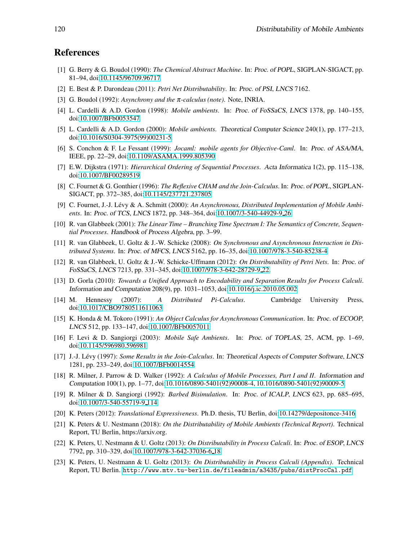# <span id="page-16-16"></span>References

- [1] G. Berry & G. Boudol (1990): *The Chemical Abstract Machine*. In: Proc. of POPL, SIGPLAN-SIGACT, pp. 81–94, doi[:10.1145/96709.96717.](http://dx.doi.org/10.1145/96709.96717)
- <span id="page-16-12"></span><span id="page-16-0"></span>[2] E. Best & P. Darondeau (2011): *Petri Net Distributability*. In: Proc. of PSI, LNCS 7162.
- <span id="page-16-8"></span>[3] G. Boudol (1992): *Asynchrony and the* <sup>π</sup>*-calculus (note)*. Note, INRIA.
- <span id="page-16-9"></span>[4] L. Cardelli & A.D. Gordon (1998): *Mobile ambients*. In: Proc. of FoSSaCS, LNCS 1378, pp. 140–155, doi[:10.1007/BFb0053547.](http://dx.doi.org/10.1007/BFb0053547)
- [5] L. Cardelli & A.D. Gordon (2000): *Mobile ambients*. Theoretical Computer Science 240(1), pp. 177–213, doi[:10.1016/S0304-3975\(99\)00231-5.](http://dx.doi.org/10.1016/S0304-3975(99)00231-5)
- <span id="page-16-21"></span>[6] S. Conchon & F. Le Fessant (1999): *Jocaml: mobile agents for Objective-Caml*. In: Proc. of ASA/MA, IEEE, pp. 22–29, doi[:10.1109/ASAMA.1999.805390.](http://dx.doi.org/10.1109/ASAMA.1999.805390)
- <span id="page-16-19"></span><span id="page-16-14"></span>[7] E.W. Dijkstra (1971): *Hierarchical Ordering of Sequential Processes*. Acta Informatica 1(2), pp. 115–138, doi[:10.1007/BF00289519.](http://dx.doi.org/10.1007/BF00289519)
- [8] C. Fournet & G. Gonthier (1996): *The Reflexive CHAM and the Join-Calculus*. In: Proc. of POPL, SIGPLAN-SIGACT, pp. 372–385, doi[:10.1145/237721.237805.](http://dx.doi.org/10.1145/237721.237805)
- <span id="page-16-20"></span>[9] C. Fournet, J.-J. Lévy & A. Schmitt (2000): *An Asynchronous, Distributed Implementation of Mobile Ambients*. In: Proc. of TCS, LNCS 1872, pp. 348–364, doi[:10.1007/3-540-44929-9](http://dx.doi.org/10.1007/3-540-44929-9_26) 26.
- <span id="page-16-15"></span>[10] R. van Glabbeek (2001): *The Linear Time – Branching Time Spectrum I: The Semantics of Concrete, Sequential Processes*. Handbook of Process Algebra, pp. 3–99.
- <span id="page-16-6"></span>[11] R. van Glabbeek, U. Goltz & J.-W. Schicke (2008): *On Synchronous and Asynchronous Interaction in Distributed Systems*. In: Proc. of MFCS, LNCS 5162, pp. 16–35, doi[:10.1007/978-3-540-85238-4.](http://dx.doi.org/10.1007/978-3-540-85238-4)
- <span id="page-16-7"></span>[12] R. van Glabbeek, U. Goltz & J.-W. Schicke-Uffmann (2012): *On Distributability of Petri Nets*. In: Proc. of FoSSaCS, LNCS 7213, pp. 331–345, doi[:10.1007/978-3-642-28729-9](http://dx.doi.org/10.1007/978-3-642-28729-9_22) 22.
- <span id="page-16-11"></span>[13] D. Gorla (2010): *Towards a Unified Approach to Encodability and Separation Results for Process Calculi*. Information and Computation 208(9), pp. 1031–1053, doi[:10.1016/j.ic.2010.05.002.](http://dx.doi.org/10.1016/j.ic.2010.05.002)
- <span id="page-16-1"></span>[14] M. Hennessy (2007): *A Distributed Pi-Calculus*. Cambridge University Press, doi[:10.1017/CBO9780511611063.](http://dx.doi.org/10.1017/CBO9780511611063)
- <span id="page-16-13"></span>[15] K. Honda & M. Tokoro (1991): *An Object Calculus for Asynchronous Communication*. In: Proc. of ECOOP, LNCS 512, pp. 133–147, doi[:10.1007/BFb0057011.](http://dx.doi.org/10.1007/BFb0057011)
- <span id="page-16-22"></span>[16] F. Levi & D. Sangiorgi (2003): *Mobile Safe Ambients*. In: Proc. of TOPLAS, 25, ACM, pp. 1–69, doi[:10.1145/596980.596981.](http://dx.doi.org/10.1145/596980.596981)
- <span id="page-16-3"></span>[17] J.-J. L´evy (1997): *Some Results in the Join-Calculus*. In: Theoretical Aspects of Computer Software, LNCS 1281, pp. 233–249, doi[:10.1007/BFb0014554.](http://dx.doi.org/10.1007/BFb0014554)
- <span id="page-16-2"></span>[18] R. Milner, J. Parrow & D. Walker (1992): *A Calculus of Mobile Processes, Part I and II*. Information and Computation 100(1), pp. 1–77, doi[:10.1016/0890-5401\(92\)90008-4, 10.1016/0890-5401\(92\)90009-5.](http://dx.doi.org/10.1016/0890-5401(92)90008-4, 10.1016/0890-5401(92)90009-5)
- <span id="page-16-17"></span>[19] R. Milner & D. Sangiorgi (1992): *Barbed Bisimulation*. In: Proc. of ICALP, LNCS 623, pp. 685–695, doi[:10.1007/3-540-55719-9](http://dx.doi.org/10.1007/3-540-55719-9_114) 114.
- <span id="page-16-10"></span><span id="page-16-5"></span>[20] K. Peters (2012): *Translational Expressiveness*. Ph.D. thesis, TU Berlin, doi[:10.14279/depositonce-3416.](http://dx.doi.org/10.14279/depositonce-3416)
- [21] K. Peters & U. Nestmann (2018): *On the Distributability of Mobile Ambients (Technical Report)*. Technical Report, TU Berlin, https://arxiv.org.
- <span id="page-16-4"></span>[22] K. Peters, U. Nestmann & U. Goltz (2013): *On Distributability in Process Calculi*. In: Proc. of ESOP, LNCS 7792, pp. 310–329, doi[:10.1007/978-3-642-37036-6](http://dx.doi.org/10.1007/978-3-642-37036-6_18) 18.
- <span id="page-16-18"></span>[23] K. Peters, U. Nestmann & U. Goltz (2013): *On Distributability in Process Calculi (Appendix)*. Technical Report, TU Berlin. <http://www.mtv.tu-berlin.de/fileadmin/a3435/pubs/distProcCal.pdf>.